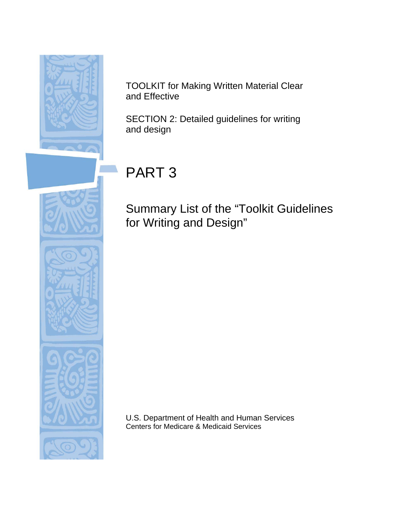

TOOLKIT for Making Written Material Clear and Effective

SECTION 2: Detailed guidelines for writing and design

# PART 3

Summary List of the "Toolkit Guidelines for Writing and Design"

U.S. Department of Health and Human Services Centers for Medicare & Medicaid Services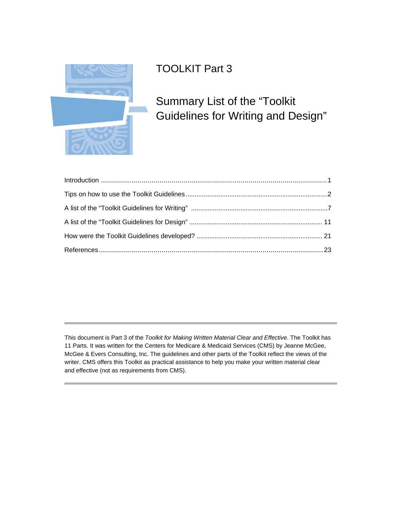

# TOOLKIT Part 3

# Summary List of the "Toolkit Guidelines for Writing and Design"

This document is Part 3 of the *Toolkit for Making Written Material Clear and Effective*. The Toolkit has 11 Parts. It was written for the Centers for Medicare & Medicaid Services (CMS) by Jeanne McGee, McGee & Evers Consulting, Inc. The guidelines and other parts of the Toolkit reflect the views of the writer. CMS offers this Toolkit as practical assistance to help you make your written material clear and effective (not as requirements from CMS).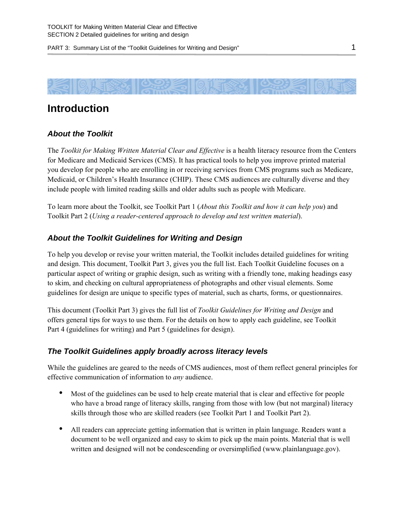<span id="page-2-0"></span>

# **Introduction**

### *About the Toolkit*

The *Toolkit for Making Written Material Clear and Effective* is a health literacy resource from the Centers for Medicare and Medicaid Services (CMS). It has practical tools to help you improve printed material you develop for people who are enrolling in or receiving services from CMS programs such as Medicare, Medicaid, or Children's Health Insurance (CHIP). These CMS audiences are culturally diverse and they include people with limited reading skills and older adults such as people with Medicare.

To learn more about the Toolkit, see Toolkit Part 1 (*About this Toolkit and how it can help you*) and Toolkit Part 2 (*Using a reader-centered approach to develop and test written material*).

### *About the Toolkit Guidelines for Writing and Design*

To help you develop or revise your written material, the Toolkit includes detailed guidelines for writing and design. This document, Toolkit Part 3, gives you the full list. Each Toolkit Guideline focuses on a particular aspect of writing or graphic design, such as writing with a friendly tone, making headings easy to skim, and checking on cultural appropriateness of photographs and other visual elements. Some guidelines for design are unique to specific types of material, such as charts, forms, or questionnaires.

This document (Toolkit Part 3) gives the full list of *Toolkit Guidelines for Writing and Design* and offers general tips for ways to use them. For the details on how to apply each guideline, see Toolkit Part 4 (guidelines for writing) and Part 5 (guidelines for design).

#### *The Toolkit Guidelines apply broadly across literacy levels*

While the guidelines are geared to the needs of CMS audiences, most of them reflect general principles for effective communication of information to *any* audience.

- Most of the guidelines can be used to help create material that is clear and effective for people who have a broad range of literacy skills, ranging from those with low (but not marginal) literacy skills through those who are skilled readers (see Toolkit Part 1 and Toolkit Part 2).
- All readers can appreciate getting information that is written in plain language. Readers want a document to be well organized and easy to skim to pick up the main points. Material that is well written and designed will not be condescending or oversimplified [\(www.plainlanguage.gov\)](http://www.plainlanguage.gov/).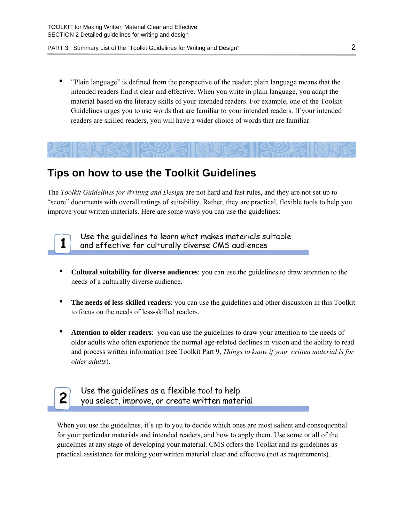• "Plain language" is defined from the perspective of the reader; plain language means that the intended readers find it clear and effective. When you write in plain language, you adapt the material based on the literacy skills of your intended readers. For example, one of the Toolkit Guidelines urges you to use words that are familiar to your intended readers. If your intended readers are skilled readers, you will have a wider choice of words that are familiar.

<span id="page-3-0"></span>

# **Tips on how to use the Toolkit Guidelines**

The *Toolkit Guidelines for Writing and Design* are not hard and fast rules, and they are not set up to "score" documents with overall ratings of suitability. Rather, they are practical, flexible tools to help you improve your written materials. Here are some ways you can use the guidelines:

Use the quidelines to learn what makes materials suitable and effective for culturally diverse CMS audiences

- **Cultural suitability for diverse audiences**: you can use the guidelines to draw attention to the needs of a culturally diverse audience.
- **The needs of less-skilled readers**: you can use the guidelines and other discussion in this Toolkit to focus on the needs of less-skilled readers.
- **Attention to older readers**: you can use the guidelines to draw your attention to the needs of older adults who often experience the normal age-related declines in vision and the ability to read and process written information (see Toolkit Part 9, *Things to know if your written material is for older adults*).



1

Use the quidelines as a flexible tool to help you select, improve, or create written material

When you use the guidelines, it's up to you to decide which ones are most salient and consequential for your particular materials and intended readers, and how to apply them. Use some or all of the guidelines at any stage of developing your material. CMS offers the Toolkit and its guidelines as practical assistance for making your written material clear and effective (not as requirements).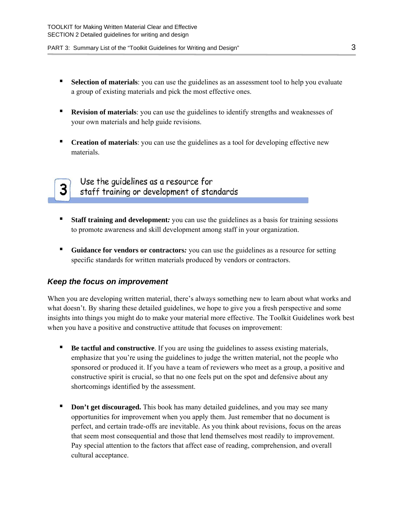- **Exercise 1 Selection of materials**: you can use the guidelines as an assessment tool to help you evaluate a group of existing materials and pick the most effective ones.
- **Revision of materials**: you can use the guidelines to identify strengths and weaknesses of your own materials and help guide revisions.
- **Creation of materials**: you can use the guidelines as a tool for developing effective new materials.

3.

### Use the quidelines as a resource for staff training or development of standards

- **EXECUTE:** Staff training and development: you can use the guidelines as a basis for training sessions to promote awareness and skill development among staff in your organization.
- **Guidance for vendors or contractors***:* you can use the guidelines as a resource for setting specific standards for written materials produced by vendors or contractors.

#### *Keep the focus on improvement*

When you are developing written material, there's always something new to learn about what works and what doesn't. By sharing these detailed guidelines, we hope to give you a fresh perspective and some insights into things you might do to make your material more effective. The Toolkit Guidelines work best when you have a positive and constructive attitude that focuses on improvement:

- **Be tactful and constructive**. If you are using the guidelines to assess existing materials, emphasize that you're using the guidelines to judge the written material, not the people who sponsored or produced it. If you have a team of reviewers who meet as a group, a positive and constructive spirit is crucial, so that no one feels put on the spot and defensive about any shortcomings identified by the assessment.
- **Don't get discouraged.** This book has many detailed guidelines, and you may see many opportunities for improvement when you apply them. Just remember that no document is perfect, and certain trade-offs are inevitable. As you think about revisions, focus on the areas that seem most consequential and those that lend themselves most readily to improvement. Pay special attention to the factors that affect ease of reading, comprehension, and overall cultural acceptance.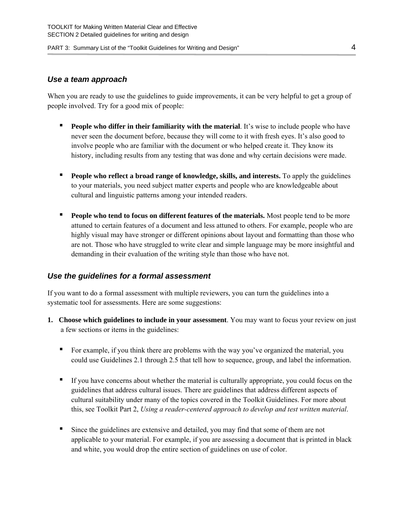#### *Use a team approach*

When you are ready to use the guidelines to guide improvements, it can be very helpful to get a group of people involved. Try for a good mix of people:

- **People who differ in their familiarity with the material**. It's wise to include people who have never seen the document before, because they will come to it with fresh eyes. It's also good to involve people who are familiar with the document or who helped create it. They know its history, including results from any testing that was done and why certain decisions were made.
- **People who reflect a broad range of knowledge, skills, and interests.** To apply the guidelines to your materials, you need subject matter experts and people who are knowledgeable about cultural and linguistic patterns among your intended readers.
- **People who tend to focus on different features of the materials.** Most people tend to be more attuned to certain features of a document and less attuned to others. For example, people who are highly visual may have stronger or different opinions about layout and formatting than those who are not. Those who have struggled to write clear and simple language may be more insightful and demanding in their evaluation of the writing style than those who have not.

#### *Use the guidelines for a formal assessment*

If you want to do a formal assessment with multiple reviewers, you can turn the guidelines into a systematic tool for assessments. Here are some suggestions:

- **1. Choose which guidelines to include in your assessment**. You may want to focus your review on just a few sections or items in the guidelines:
	- **•** For example, if you think there are problems with the way you've organized the material, you could use Guidelines 2.1 through 2.5 that tell how to sequence, group, and label the information.
	- **•** If you have concerns about whether the material is culturally appropriate, you could focus on the guidelines that address cultural issues. There are guidelines that address different aspects of cultural suitability under many of the topics covered in the Toolkit Guidelines. For more about this, see Toolkit Part 2, *Using a reader-centered approach to develop and test written material*.
	- Since the guidelines are extensive and detailed, you may find that some of them are not applicable to your material. For example, if you are assessing a document that is printed in black and white, you would drop the entire section of guidelines on use of color.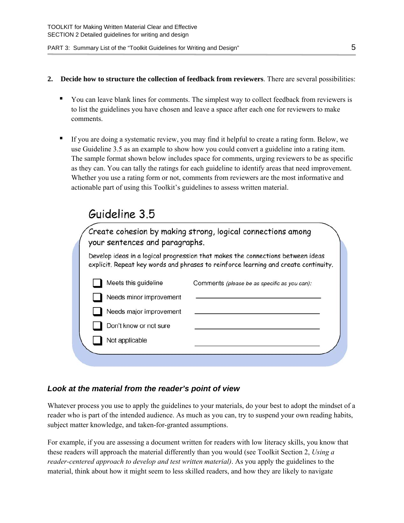- **2. Decide how to structure the collection of feedback from reviewers**. There are several possibilities:
	- You can leave blank lines for comments. The simplest way to collect feedback from reviewers is to list the guidelines you have chosen and leave a space after each one for reviewers to make comments.
	- If you are doing a systematic review, you may find it helpful to create a rating form. Below, we use Guideline 3.5 as an example to show how you could convert a guideline into a rating item. The sample format shown below includes space for comments, urging reviewers to be as specific as they can. You can tally the ratings for each guideline to identify areas that need improvement. Whether you use a rating form or not, comments from reviewers are the most informative and actionable part of using this Toolkit's guidelines to assess written material.

# Guideline 3.5

Create cohesion by making strong, logical connections among your sentences and paragraphs. Develop ideas in a logical progression that makes the connections between ideas

explicit. Repeat key words and phrases to reinforce learning and create continuity.

| Comments (please be as specific as you can): |  |  |  |
|----------------------------------------------|--|--|--|

Needs major improvement

Needs minor improvement

Don't know or not sure

Meets this guideline

Not applicable

### *Look at the material from the reader's point of view*

Whatever process you use to apply the guidelines to your materials, do your best to adopt the mindset of a reader who is part of the intended audience. As much as you can, try to suspend your own reading habits, subject matter knowledge, and taken-for-granted assumptions.

For example, if you are assessing a document written for readers with low literacy skills, you know that these readers will approach the material differently than you would (see Toolkit Section 2, *Using a reader-centered approach to develop and test written material)*. As you apply the guidelines to the material, think about how it might seem to less skilled readers, and how they are likely to navigate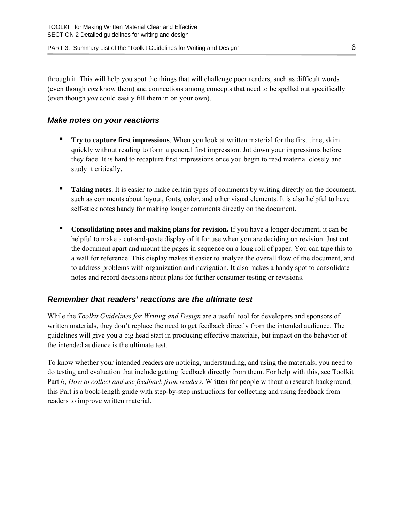through it. This will help you spot the things that will challenge poor readers, such as difficult words (even though *you* know them) and connections among concepts that need to be spelled out specifically (even though *you* could easily fill them in on your own).

#### *Make notes on your reactions*

- **Try to capture first impressions**. When you look at written material for the first time, skim quickly without reading to form a general first impression. Jot down your impressions before they fade. It is hard to recapture first impressions once you begin to read material closely and study it critically.
- **Taking notes**. It is easier to make certain types of comments by writing directly on the document, such as comments about layout, fonts, color, and other visual elements. It is also helpful to have self-stick notes handy for making longer comments directly on the document.
- **Consolidating notes and making plans for revision.** If you have a longer document, it can be helpful to make a cut-and-paste display of it for use when you are deciding on revision. Just cut the document apart and mount the pages in sequence on a long roll of paper. You can tape this to a wall for reference. This display makes it easier to analyze the overall flow of the document, and to address problems with organization and navigation. It also makes a handy spot to consolidate notes and record decisions about plans for further consumer testing or revisions.

### *Remember that readers' reactions are the ultimate test*

While the *Toolkit Guidelines for Writing and Design* are a useful tool for developers and sponsors of written materials, they don't replace the need to get feedback directly from the intended audience. The guidelines will give you a big head start in producing effective materials, but impact on the behavior of the intended audience is the ultimate test.

To know whether your intended readers are noticing, understanding, and using the materials, you need to do testing and evaluation that include getting feedback directly from them. For help with this, see Toolkit Part 6, *How to collect and use feedback from readers*. Written for people without a research background, this Part is a book-length guide with step-by-step instructions for collecting and using feedback from readers to improve written material.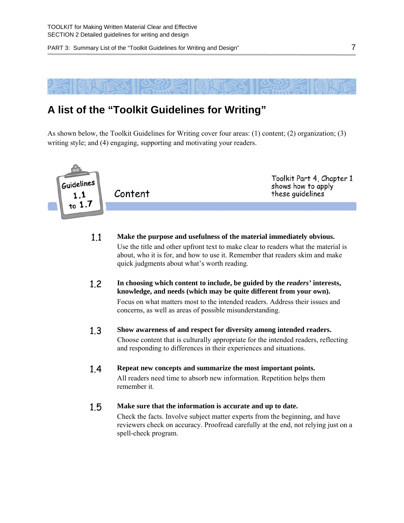

# <span id="page-8-0"></span>**A list of the "Toolkit Guidelines for Writing"**

As shown below, the Toolkit Guidelines for Writing cover four areas: (1) content; (2) organization; (3) writing style; and (4) engaging, supporting and motivating your readers.



- 1.1 **Make the purpose and usefulness of the material immediately obvious.**  Use the title and other upfront text to make clear to readers what the material is about, who it is for, and how to use it. Remember that readers skim and make quick judgments about what's worth reading.
- 1.2 **In choosing which content to include, be guided by the** *readers'* **interests, knowledge, and needs (which may be quite different from your own).**

Focus on what matters most to the intended readers. Address their issues and concerns, as well as areas of possible misunderstanding.

- 1.3 **Show awareness of and respect for diversity among intended readers.**  Choose content that is culturally appropriate for the intended readers, reflecting and responding to differences in their experiences and situations.
- 1.4 **Repeat new concepts and summarize the most important points.**  All readers need time to absorb new information. Repetition helps them remember it.
- 1.5 **Make sure that the information is accurate and up to date.** Check the facts. Involve subject matter experts from the beginning, and have reviewers check on accuracy. Proofread carefully at the end, not relying just on a spell-check program.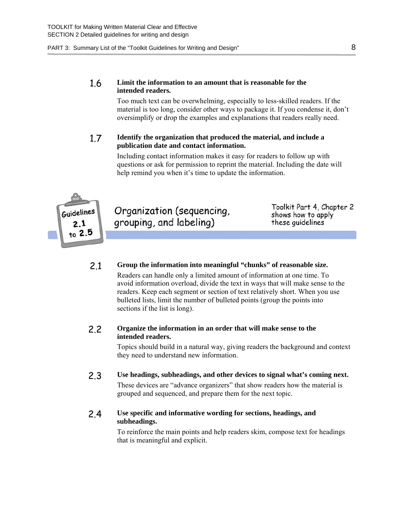#### 1.6 **Limit the information to an amount that is reasonable for the intended readers***.*

Too much text can be overwhelming, especially to less-skilled readers. If the material is too long, consider other ways to package it. If you condense it, don't oversimplify or drop the examples and explanations that readers really need.

#### 1.7 **Identify the organization that produced the material, and include a publication date and contact information.**

Including contact information makes it easy for readers to follow up with questions or ask for permission to reprint the material. Including the date will help remind you when it's time to update the information.



Organization (sequencing, grouping, and labeling)

Toolkit Part 4, Chapter 2 shows how to apply these quidelines

#### 2.1 **Group the information into meaningful "chunks" of reasonable size.**

Readers can handle only a limited amount of information at one time. To avoid information overload, divide the text in ways that will make sense to the readers. Keep each segment or section of text relatively short. When you use bulleted lists, limit the number of bulleted points (group the points into sections if the list is long).

#### 2.2 **Organize the information in an order that will make sense to the intended readers.**

Topics should build in a natural way, giving readers the background and context they need to understand new information.

2.3 **Use headings, subheadings, and other devices to signal what's coming next.**  These devices are "advance organizers" that show readers how the material is grouped and sequenced, and prepare them for the next topic.

#### 2.4 **Use specific and informative wording for sections, headings, and subheadings.**

To reinforce the main points and help readers skim, compose text for headings that is meaningful and explicit.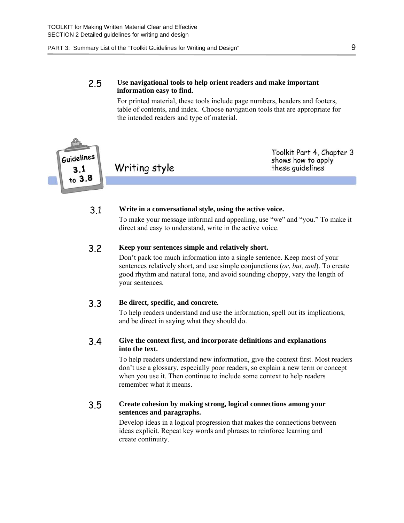#### 2.5 **Use navigational tools to help orient readers and make important information easy to find.**

For printed material, these tools include page numbers, headers and footers, table of contents, and index. Choose navigation tools that are appropriate for the intended readers and type of material.



Toolkit Part 4, Chapter 3 shows how to apply these quidelines

#### 3.1 **Write in a conversational style, using the active voice.**

To make your message informal and appealing, use "we" and "you." To make it direct and easy to understand, write in the active voice.

#### 3.2 **Keep your sentences simple and relatively short.**

Don't pack too much information into a single sentence. Keep most of your sentences relatively short, and use simple conjunctions (*or*, *but, and*). To create good rhythm and natural tone, and avoid sounding choppy, vary the length of your sentences.

#### 3.3 **Be direct, specific, and concrete.**

To help readers understand and use the information, spell out its implications, and be direct in saying what they should do.

#### 3.4 **Give the context first, and incorporate definitions and explanations into the text.**

To help readers understand new information, give the context first. Most readers don't use a glossary, especially poor readers, so explain a new term or concept when you use it. Then continue to include some context to help readers remember what it means.

#### 3.5 **Create cohesion by making strong, logical connections among your sentences and paragraphs.**

Develop ideas in a logical progression that makes the connections between ideas explicit. Repeat key words and phrases to reinforce learning and create continuity.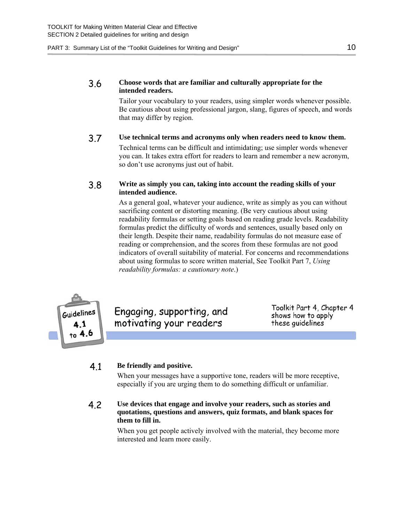#### 3.6 **Choose words that are familiar and culturally appropriate for the intended readers.**

Tailor your vocabulary to your readers, using simpler words whenever possible. Be cautious about using professional jargon, slang, figures of speech, and words that may differ by region.

3.7 **Use technical terms and acronyms only when readers need to know them.**  Technical terms can be difficult and intimidating; use simpler words whenever you can. It takes extra effort for readers to learn and remember a new acronym, so don't use acronyms just out of habit.

#### 3.8 **Write as simply you can, taking into account the reading skills of your intended audience.**

As a general goal, whatever your audience, write as simply as you can without sacrificing content or distorting meaning. (Be very cautious about using readability formulas or setting goals based on reading grade levels. Readability formulas predict the difficulty of words and sentences, usually based only on their length. Despite their name, readability formulas do not measure ease of reading or comprehension, and the scores from these formulas are not good indicators of overall suitability of material. For concerns and recommendations about using formulas to score written material, See Toolkit Part 7, *Using readability formulas: a cautionary note*.)



Engaging, supporting, and motivating your readers

Toolkit Part 4, Chapter 4 shows how to apply these guidelines

#### 4.1 **Be friendly and positive.**

When your messages have a supportive tone, readers will be more receptive, especially if you are urging them to do something difficult or unfamiliar.

#### 4.2 **Use devices that engage and involve your readers, such as stories and quotations, questions and answers, quiz formats, and blank spaces for them to fill in.**

When you get people actively involved with the material, they become more interested and learn more easily.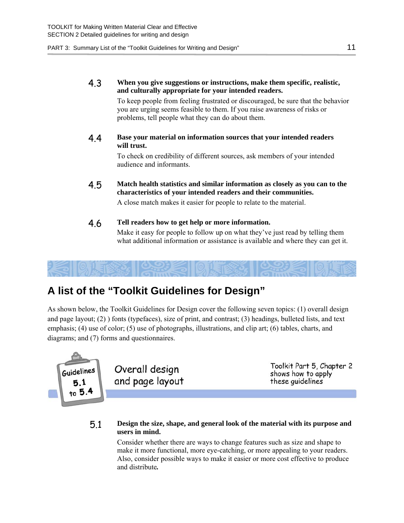#### 4.3 **When you give suggestions or instructions, make them specific, realistic, and culturally appropriate for your intended readers.**

To keep people from feeling frustrated or discouraged, be sure that the behavior you are urging seems feasible to them. If you raise awareness of risks or problems, tell people what they can do about them.

4.4 **Base your material on information sources that your intended readers will trust.** 

> To check on credibility of different sources, ask members of your intended audience and informants.

4.5 **Match health statistics and similar information as closely as you can to the characteristics of your intended readers and their communities.** 

A close match makes it easier for people to relate to the material.

#### 4.6 **Tell readers how to get help or more information.**

Make it easy for people to follow up on what they've just read by telling them what additional information or assistance is available and where they can get it.

# <span id="page-12-0"></span>**A list of the "Toolkit Guidelines for Design"**

As shown below, the Toolkit Guidelines for Design cover the following seven topics: (1) overall design and page layout; (2) ) fonts (typefaces), size of print, and contrast; (3) headings, bulleted lists, and text emphasis; (4) use of color; (5) use of photographs, illustrations, and clip art; (6) tables, charts, and diagrams; and (7) forms and questionnaires.



#### 5.1 **Design the size, shape, and general look of the material with its purpose and users in mind.**

Consider whether there are ways to change features such as size and shape to make it more functional, more eye-catching, or more appealing to your readers. Also, consider possible ways to make it easier or more cost effective to produce and distribute*.*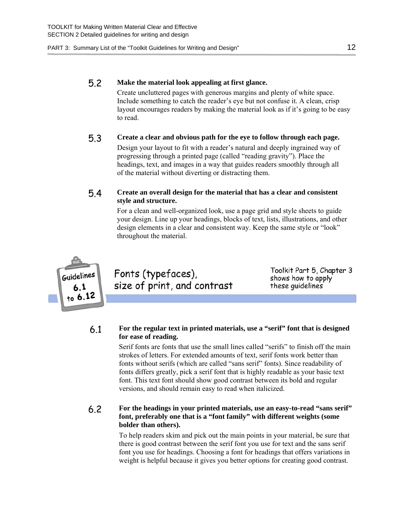#### 5.2 **Make the material look appealing at first glance.**

Create uncluttered pages with generous margins and plenty of white space. Include something to catch the reader's eye but not confuse it. A clean, crisp layout encourages readers by making the material look as if it's going to be easy to read.

#### 5.3 **Create a clear and obvious path for the eye to follow through each page.**

Design your layout to fit with a reader's natural and deeply ingrained way of progressing through a printed page (called "reading gravity"). Place the headings, text, and images in a way that guides readers smoothly through all of the material without diverting or distracting them.

#### 5.4 **Create an overall design for the material that has a clear and consistent style and structure.**

For a clean and well-organized look, use a page grid and style sheets to guide your design. Line up your headings, blocks of text, lists, illustrations, and other design elements in a clear and consistent way. Keep the same style or "look" throughout the material.



Fonts (typefaces), size of print, and contrast

Toolkit Part 5, Chapter 3 shows how to apply these quidelines

#### 6.1 **For the regular text in printed materials, use a "serif" font that is designed for ease of reading.**

Serif fonts are fonts that use the small lines called "serifs" to finish off the main strokes of letters. For extended amounts of text, serif fonts work better than fonts without serifs (which are called "sans serif" fonts). Since readability of fonts differs greatly, pick a serif font that is highly readable as your basic text font. This text font should show good contrast between its bold and regular versions, and should remain easy to read when italicized.

#### 6.2 **For the headings in your printed materials, use an easy-to-read "sans serif" font, preferably one that is a "font family" with different weights (some bolder than others).**

To help readers skim and pick out the main points in your material, be sure that there is good contrast between the serif font you use for text and the sans serif font you use for headings. Choosing a font for headings that offers variations in weight is helpful because it gives you better options for creating good contrast.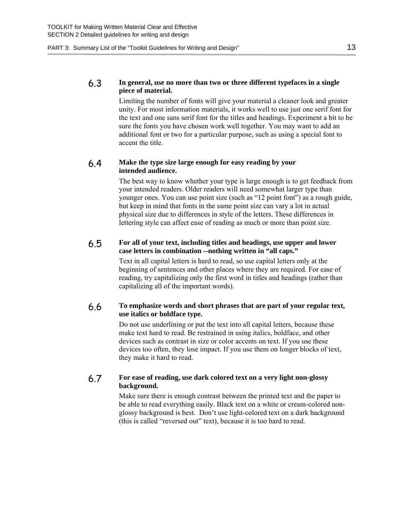#### 6.3 **In general, use no more than two or three different typefaces in a single piece of material.**

Limiting the number of fonts will give your material a cleaner look and greater unity. For most information materials, it works well to use just one serif font for the text and one sans serif font for the titles and headings. Experiment a bit to be sure the fonts you have chosen work well together. You may want to add an additional font or two for a particular purpose, such as using a special font to accent the title.

#### 6.4 **Make the type size large enough for easy reading by your intended audience.**

The best way to know whether your type is large enough is to get feedback from your intended readers. Older readers will need somewhat larger type than younger ones. You can use point size (such as "12 point font") as a rough guide, but keep in mind that fonts in the same point size can vary a lot in actual physical size due to differences in style of the letters. These differences in lettering style can affect ease of reading as much or more than point size.

#### 6.5 **For all of your text, including titles and headings, use upper and lower case letters in combination --nothing written in "all caps."**

Text in all capital letters is hard to read, so use capital letters only at the beginning of sentences and other places where they are required. For ease of reading, try capitalizing only the first word in titles and headings (rather than capitalizing all of the important words).

#### 6.6 **To emphasize words and short phrases that are part of your regular text, use italics or boldface type.**

Do not use underlining or put the text into all capital letters, because these make text hard to read. Be restrained in using italics, boldface, and other devices such as contrast in size or color accents on text. If you use these devices too often, they lose impact. If you use them on longer blocks of text, they make it hard to read.

#### 6.7 **For ease of reading, use dark colored text on a very light non-glossy background.**

Make sure there is enough contrast between the printed text and the paper to be able to read everything easily. Black text on a white or cream-colored nonglossy background is best. Don't use light-colored text on a dark background (this is called "reversed out" text), because it is too hard to read.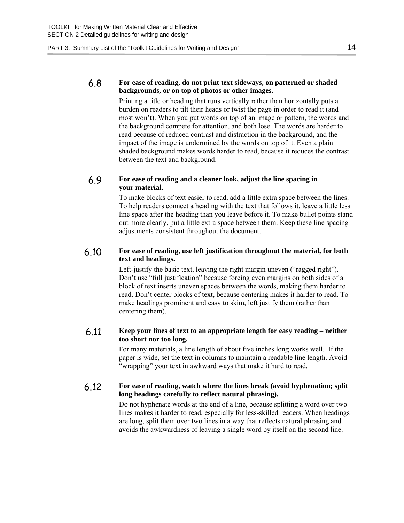#### 6.8 **For ease of reading, do not print text sideways, on patterned or shaded backgrounds, or on top of photos or other images.**

Printing a title or heading that runs vertically rather than horizontally puts a burden on readers to tilt their heads or twist the page in order to read it (and most won't). When you put words on top of an image or pattern, the words and the background compete for attention, and both lose. The words are harder to read because of reduced contrast and distraction in the background, and the impact of the image is undermined by the words on top of it. Even a plain shaded background makes words harder to read, because it reduces the contrast between the text and background.

#### 6.9 **For ease of reading and a cleaner look, adjust the line spacing in your material.**

To make blocks of text easier to read, add a little extra space between the lines. To help readers connect a heading with the text that follows it, leave a little less line space after the heading than you leave before it. To make bullet points stand out more clearly, put a little extra space between them. Keep these line spacing adjustments consistent throughout the document.

#### 6.10 **For ease of reading, use left justification throughout the material, for both text and headings.**

Left-justify the basic text, leaving the right margin uneven ("ragged right"). Don't use "full justification" because forcing even margins on both sides of a block of text inserts uneven spaces between the words, making them harder to read. Don't center blocks of text, because centering makes it harder to read. To make headings prominent and easy to skim, left justify them (rather than centering them).

#### 6.11 **Keep your lines of text to an appropriate length for easy reading – neither too short nor too long.**

For many materials, a line length of about five inches long works well. If the paper is wide, set the text in columns to maintain a readable line length. Avoid "wrapping" your text in awkward ways that make it hard to read.

#### 6.12 **For ease of reading, watch where the lines break (avoid hyphenation; split long headings carefully to reflect natural phrasing).**

Do not hyphenate words at the end of a line, because splitting a word over two lines makes it harder to read, especially for less-skilled readers. When headings are long, split them over two lines in a way that reflects natural phrasing and avoids the awkwardness of leaving a single word by itself on the second line.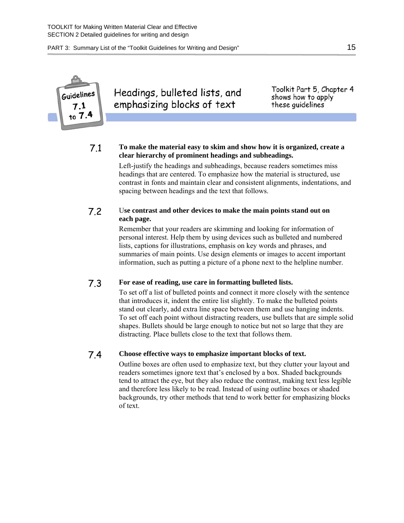

Headings, bulleted lists, and emphasizing blocks of text

Toolkit Part 5, Chapter 4 shows how to apply these quidelines

#### 7.1 **To make the material easy to skim and show how it is organized, create a clear hierarchy of prominent headings and subheadings.**

Left-justify the headings and subheadings, because readers sometimes miss headings that are centered. To emphasize how the material is structured, use contrast in fonts and maintain clear and consistent alignments, indentations, and spacing between headings and the text that follows.

#### 7.2 U**se contrast and other devices to make the main points stand out on each page.**

Remember that your readers are skimming and looking for information of personal interest. Help them by using devices such as bulleted and numbered lists, captions for illustrations, emphasis on key words and phrases, and summaries of main points. Use design elements or images to accent important information, such as putting a picture of a phone next to the helpline number.

#### 7.3 **For ease of reading, use care in formatting bulleted lists.**

To set off a list of bulleted points and connect it more closely with the sentence that introduces it, indent the entire list slightly. To make the bulleted points stand out clearly, add extra line space between them and use hanging indents. To set off each point without distracting readers, use bullets that are simple solid shapes. Bullets should be large enough to notice but not so large that they are distracting. Place bullets close to the text that follows them.

#### 7.4 **Choose effective ways to emphasize important blocks of text.**

Outline boxes are often used to emphasize text, but they clutter your layout and readers sometimes ignore text that's enclosed by a box. Shaded backgrounds tend to attract the eye, but they also reduce the contrast, making text less legible and therefore less likely to be read. Instead of using outline boxes or shaded backgrounds, try other methods that tend to work better for emphasizing blocks of text.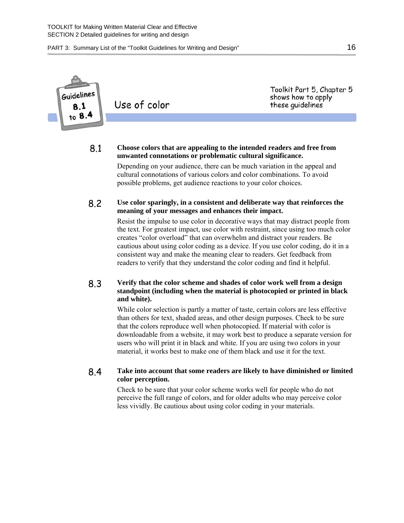Toolkit Part 5, Chapter 5 **Guidelines** shows how to apply Use of color these guidelines

#### 8.1 **Choose colors that are appealing to the intended readers and free from unwanted connotations or problematic cultural significance.**

Depending on your audience, there can be much variation in the appeal and cultural connotations of various colors and color combinations. To avoid possible problems, get audience reactions to your color choices.

#### 8.2 **Use color sparingly, in a consistent and deliberate way that reinforces the meaning of your messages and enhances their impact.**

Resist the impulse to use color in decorative ways that may distract people from the text. For greatest impact, use color with restraint, since using too much color creates "color overload" that can overwhelm and distract your readers. Be cautious about using color coding as a device. If you use color coding, do it in a consistent way and make the meaning clear to readers. Get feedback from readers to verify that they understand the color coding and find it helpful.

#### 8.3 **Verify that the color scheme and shades of color work well from a design standpoint (including when the material is photocopied or printed in black and white).**

While color selection is partly a matter of taste, certain colors are less effective than others for text, shaded areas, and other design purposes. Check to be sure that the colors reproduce well when photocopied. If material with color is downloadable from a website, it may work best to produce a separate version for users who will print it in black and white. If you are using two colors in your material, it works best to make one of them black and use it for the text.

#### 8.4 **Take into account that some readers are likely to have diminished or limited color perception.**

Check to be sure that your color scheme works well for people who do not perceive the full range of colors, and for older adults who may perceive color less vividly. Be cautious about using color coding in your materials.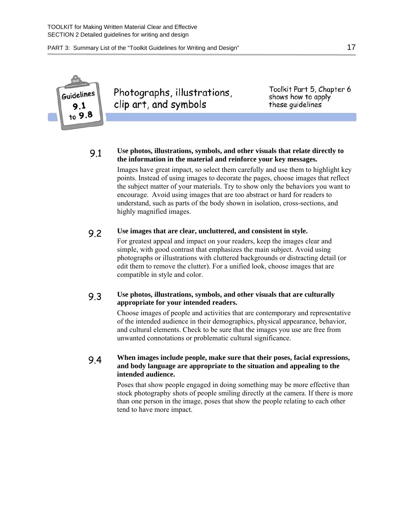

Photographs, illustrations, clip art, and symbols

Toolkit Part 5, Chapter 6 shows how to apply these quidelines

9.1 **Use photos, illustrations, symbols, and other visuals that relate directly to the information in the material and reinforce your key messages.** Images have great impact, so select them carefully and use them to highlight key points. Instead of using images to decorate the pages, choose images that reflect the subject matter of your materials. Try to show only the behaviors you want to encourage. Avoid using images that are too abstract or hard for readers to understand, such as parts of the body shown in isolation, cross-sections, and highly magnified images.

### 9.2 **Use images that are clear, uncluttered, and consistent in style.**

For greatest appeal and impact on your readers, keep the images clear and simple, with good contrast that emphasizes the main subject. Avoid using photographs or illustrations with cluttered backgrounds or distracting detail (or edit them to remove the clutter). For a unified look, choose images that are compatible in style and color.

#### 9.3 **Use photos, illustrations, symbols, and other visuals that are culturally appropriate for your intended readers.**

Choose images of people and activities that are contemporary and representative of the intended audience in their demographics, physical appearance, behavior, and cultural elements. Check to be sure that the images you use are free from unwanted connotations or problematic cultural significance.

#### 9.4 **When images include people, make sure that their poses, facial expressions, and body language are appropriate to the situation and appealing to the intended audience.**

Poses that show people engaged in doing something may be more effective than stock photography shots of people smiling directly at the camera. If there is more than one person in the image, poses that show the people relating to each other tend to have more impact.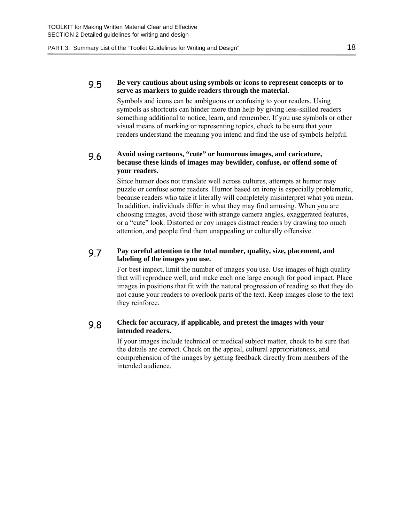#### 9.5 **Be very cautious about using symbols or icons to represent concepts or to serve as markers to guide readers through the material.**

Symbols and icons can be ambiguous or confusing to your readers. Using symbols as shortcuts can hinder more than help by giving less-skilled readers something additional to notice, learn, and remember. If you use symbols or other visual means of marking or representing topics, check to be sure that your readers understand the meaning you intend and find the use of symbols helpful.

#### 9.6 **Avoid using cartoons, "cute" or humorous images, and caricature, because these kinds of images may bewilder, confuse, or offend some of your readers.**

Since humor does not translate well across cultures, attempts at humor may puzzle or confuse some readers. Humor based on irony is especially problematic, because readers who take it literally will completely misinterpret what you mean. In addition, individuals differ in what they may find amusing. When you are choosing images, avoid those with strange camera angles, exaggerated features, or a "cute" look. Distorted or coy images distract readers by drawing too much attention, and people find them unappealing or culturally offensive.

#### 9.7 **Pay careful attention to the total number, quality, size, placement, and labeling of the images you use.**

For best impact, limit the number of images you use. Use images of high quality that will reproduce well, and make each one large enough for good impact. Place images in positions that fit with the natural progression of reading so that they do not cause your readers to overlook parts of the text. Keep images close to the text they reinforce.

#### 9.8 **Check for accuracy, if applicable, and pretest the images with your intended readers.**

If your images include technical or medical subject matter, check to be sure that the details are correct. Check on the appeal, cultural appropriateness, and comprehension of the images by getting feedback directly from members of the intended audience.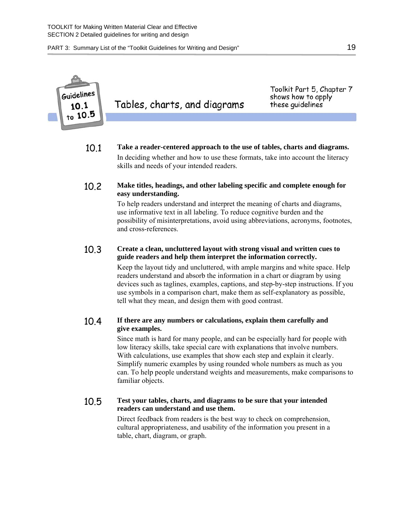

Tables, charts, and diagrams

Toolkit Part 5, Chapter 7 shows how to apply these quidelines

- 10.1 **Take a reader-centered approach to the use of tables, charts and diagrams.** In deciding whether and how to use these formats, take into account the literacy skills and needs of your intended readers.
- 10.2 **Make titles, headings, and other labeling specific and complete enough for easy understanding.**

To help readers understand and interpret the meaning of charts and diagrams, use informative text in all labeling. To reduce cognitive burden and the possibility of misinterpretations, avoid using abbreviations, acronyms, footnotes, and cross-references.

#### 10.3 **Create a clean, uncluttered layout with strong visual and written cues to guide readers and help them interpret the information correctly.**

Keep the layout tidy and uncluttered, with ample margins and white space. Help readers understand and absorb the information in a chart or diagram by using devices such as taglines, examples, captions, and step-by-step instructions. If you use symbols in a comparison chart, make them as self-explanatory as possible, tell what they mean, and design them with good contrast.

#### 10.4 **If there are any numbers or calculations, explain them carefully and give examples.**

Since math is hard for many people, and can be especially hard for people with low literacy skills, take special care with explanations that involve numbers. With calculations, use examples that show each step and explain it clearly. Simplify numeric examples by using rounded whole numbers as much as you can. To help people understand weights and measurements, make comparisons to familiar objects.

#### 10.5 **Test your tables, charts, and diagrams to be sure that your intended readers can understand and use them.**

Direct feedback from readers is the best way to check on comprehension, cultural appropriateness, and usability of the information you present in a table, chart, diagram, or graph.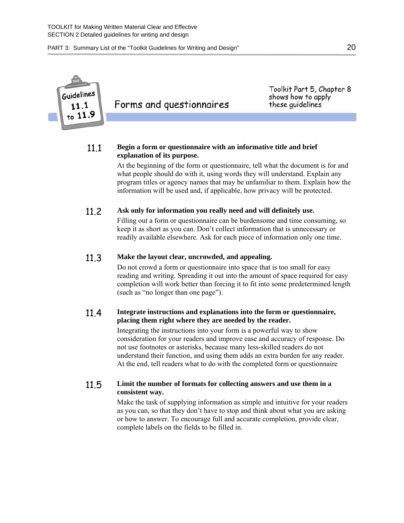

Forms and questionnaires

Toolkit Part 5, Chapter 8 shows how to apply these quidelines

#### 11.1 **Begin a form or questionnaire with an informative title and brief explanation of its purpose.**

At the beginning of the form or questionnaire, tell what the document is for and what people should do with it, using words they will understand. Explain any program titles or agency names that may be unfamiliar to them. Explain how the information will be used and, if applicable, how privacy will be protected.

#### 11.2 **Ask only for information you really need and will definitely use.**

Filling out a form or questionnaire can be burdensome and time consuming, so keep it as short as you can. Don't collect information that is unnecessary or readily available elsewhere. Ask for each piece of information only one time.

#### 11.3 **Make the layout clear, uncrowded, and appealing.**

Do not crowd a form or questionnaire into space that is too small for easy reading and writing. Spreading it out into the amount of space required for easy completion will work better than forcing it to fit into some predetermined length (such as "no longer than one page").

#### 11.4 **Integrate instructions and explanations into the form or questionnaire, placing them right where they are needed by the reader.**

Integrating the instructions into your form is a powerful way to show consideration for your readers and improve ease and accuracy of response. Do not use footnotes or asterisks, because many less-skilled readers do not understand their function, and using them adds an extra burden for any reader. At the end, tell readers what to do with the completed form or questionnaire

#### 11.5 **Limit the number of formats for collecting answers and use them in a consistent way.**

Make the task of supplying information as simple and intuitive for your readers as you can, so that they don't have to stop and think about what you are asking or how to answer. To encourage full and accurate completion, provide clear, complete labels on the fields to be filled in.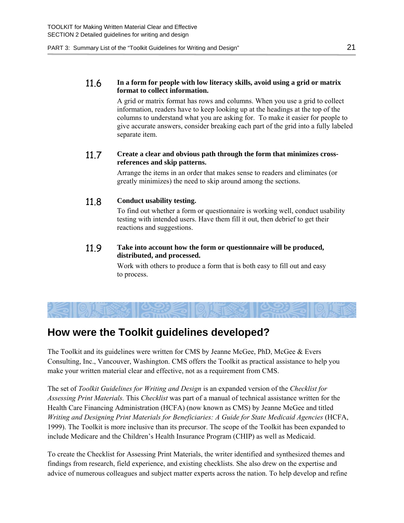#### 11.6 **In a form for people with low literacy skills, avoid using a grid or matrix format to collect information.**

A grid or matrix format has rows and columns. When you use a grid to collect information, readers have to keep looking up at the headings at the top of the columns to understand what you are asking for. To make it easier for people to give accurate answers, consider breaking each part of the grid into a fully labeled separate item.

#### 11.7 **Create a clear and obvious path through the form that minimizes crossreferences and skip patterns.**

Arrange the items in an order that makes sense to readers and eliminates (or greatly minimizes) the need to skip around among the sections.

#### 11.8 **Conduct usability testing.**

To find out whether a form or questionnaire is working well, conduct usability testing with intended users. Have them fill it out, then debrief to get their reactions and suggestions.

#### 11.9 **Take into account how the form or questionnaire will be produced, distributed, and processed.**

Work with others to produce a form that is both easy to fill out and easy to process.

## <span id="page-22-0"></span>**How were the Toolkit guidelines developed?**

The Toolkit and its guidelines were written for CMS by Jeanne McGee, PhD, McGee  $\&$  Evers Consulting, Inc., Vancouver, Washington. CMS offers the Toolkit as practical assistance to help you make your written material clear and effective, not as a requirement from CMS.

The set of *Toolkit Guidelines for Writing and Design* is an expanded version of the *Checklist for Assessing Print Materials.* This *Checklist* was part of a manual of technical assistance written for the Health Care Financing Administration (HCFA) (now known as CMS) by Jeanne McGee and titled *Writing and Designing Print Materials for Beneficiaries: A Guide for State Medicaid Agencies* (HCFA, 1999). The Toolkit is more inclusive than its precursor. The scope of the Toolkit has been expanded to include Medicare and the Children's Health Insurance Program (CHIP) as well as Medicaid.

To create the Checklist for Assessing Print Materials, the writer identified and synthesized themes and findings from research, field experience, and existing checklists. She also drew on the expertise and advice of numerous colleagues and subject matter experts across the nation. To help develop and refine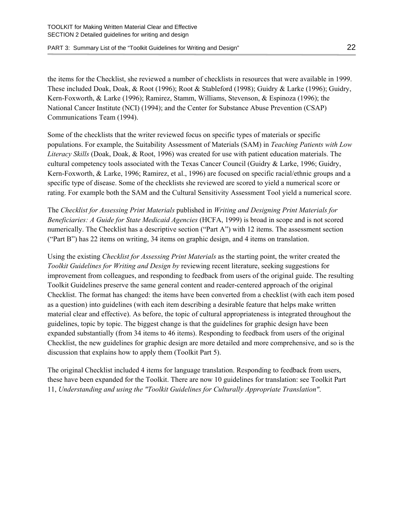the items for the Checklist, she reviewed a number of checklists in resources that were available in 1999. These included Doak, Doak, & Root (1996); Root & Stableford (1998); Guidry & Larke (1996); Guidry, Kern-Foxworth, & Larke (1996); Ramirez, Stamm, Williams, Stevenson, & Espinoza (1996); the National Cancer Institute (NCI) (1994); and the Center for Substance Abuse Prevention (CSAP) Communications Team (1994).

Some of the checklists that the writer reviewed focus on specific types of materials or specific populations. For example, the Suitability Assessment of Materials (SAM) in *Teaching Patients with Low Literacy Skills* (Doak, Doak, & Root, 1996) was created for use with patient education materials. The cultural competency tools associated with the Texas Cancer Council (Guidry & Larke, 1996; Guidry, Kern-Foxworth, & Larke, 1996; Ramirez, et al., 1996) are focused on specific racial/ethnic groups and a specific type of disease. Some of the checklists she reviewed are scored to yield a numerical score or rating. For example both the SAM and the Cultural Sensitivity Assessment Tool yield a numerical score.

The *Checklist for Assessing Print Materials* published in *Writing and Designing Print Materials for Beneficiaries: A Guide for State Medicaid Agencies* (HCFA, 1999) is broad in scope and is not scored numerically. The Checklist has a descriptive section ("Part A") with 12 items. The assessment section ("Part B") has 22 items on writing, 34 items on graphic design, and 4 items on translation.

Using the existing *Checklist for Assessing Print Materials* as the starting point, the writer created the *Toolkit Guidelines for Writing and Design by* reviewing recent literature, seeking suggestions for improvement from colleagues, and responding to feedback from users of the original guide. The resulting Toolkit Guidelines preserve the same general content and reader-centered approach of the original Checklist. The format has changed: the items have been converted from a checklist (with each item posed as a question) into guidelines (with each item describing a desirable feature that helps make written material clear and effective). As before, the topic of cultural appropriateness is integrated throughout the guidelines, topic by topic. The biggest change is that the guidelines for graphic design have been expanded substantially (from 34 items to 46 items). Responding to feedback from users of the original Checklist, the new guidelines for graphic design are more detailed and more comprehensive, and so is the discussion that explains how to apply them (Toolkit Part 5).

The original Checklist included 4 items for language translation. Responding to feedback from users, these have been expanded for the Toolkit. There are now 10 guidelines for translation: see Toolkit Part 11, *Understanding and using the "Toolkit Guidelines for Culturally Appropriate Translation"*.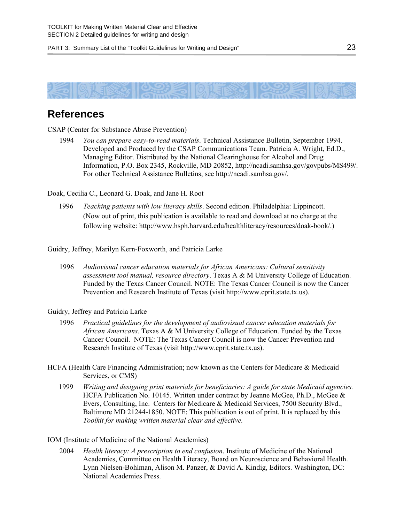<span id="page-24-0"></span>

## **References**

CSAP (Center for Substance Abuse Prevention)

 1994 *You can prepare easy-to-read materials*. Technical Assistance Bulletin, September 1994. Developed and Produced by the CSAP Communications Team. Patricia A. Wright, Ed.D., Managing Editor. Distributed by the National Clearinghouse for Alcohol and Drug Information, P.O. Box 2345, Rockville, MD 20852, <http://ncadi.samhsa.gov/govpubs/MS499/>. For other Technical Assistance Bulletins, see [http://ncadi.samhsa.gov/.](http://ncadi.samhsa.gov/)

Doak, Cecilia C., Leonard G. Doak, and Jane H. Root

 1996 *Teaching patients with low literacy skills*. Second edition. Philadelphia: Lippincott. (Now out of print, this publication is available to read and download at no charge at the following website:<http://www.hsph.harvard.edu/healthliteracy/resources/doak-book/>.)

Guidry, Jeffrey, Marilyn Kern-Foxworth, and Patricia Larke

 1996 *Audiovisual cancer education materials for African Americans: Cultural sensitivity assessment tool manual, resource directory*. Texas A & M University College of Education. Funded by the Texas Cancer Council. NOTE: The Texas Cancer Council is now the Cancer Prevention and Research Institute of Texas (visit [http://www.cprit.state.tx.us\)](http://www.cprit.state.tx.us/).

#### Guidry, Jeffrey and Patricia Larke

- 1996 *Practical guidelines for the development of audiovisual cancer education materials for African Americans*. Texas A & M University College of Education. Funded by the Texas Cancer Council. NOTE: The Texas Cancer Council is now the Cancer Prevention and Research Institute of Texas (visit [http://www.cprit.state.tx.us\)](http://www.cprit.state.tx.us/).
- HCFA (Health Care Financing Administration; now known as the Centers for Medicare & Medicaid Services, or CMS)
	- 1999 *Writing and designing print materials for beneficiaries: A guide for state Medicaid agencies.* HCFA Publication No. 10145. Written under contract by Jeanne McGee, Ph.D., McGee & Evers, Consulting, Inc. Centers for Medicare & Medicaid Services, 7500 Security Blvd., Baltimore MD 21244-1850. NOTE: This publication is out of print. It is replaced by this *Toolkit for making written material clear and effective.*
- IOM (Institute of Medicine of the National Academies)
	- 2004 *Health literacy: A prescription to end confusion*. Institute of Medicine of the National Academies, Committee on Health Literacy, Board on Neuroscience and Behavioral Health. Lynn Nielsen-Bohlman, Alison M. Panzer, & David A. Kindig, Editors. Washington, DC: National Academies Press.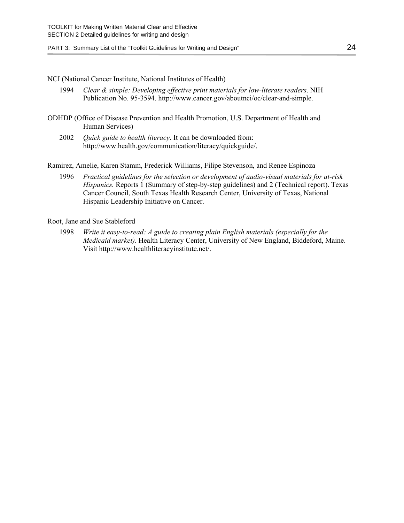#### NCI (National Cancer Institute, National Institutes of Health)

- 1994 *Clear & simple: Developing effective print materials for low-literate readers*. NIH Publication No. 95-3594.<http://www.cancer.gov/aboutnci/oc/clear-and-simple>.
- ODHDP (Office of Disease Prevention and Health Promotion, U.S. Department of Health and Human Services)
	- 2002 *Quick guide to health literacy*. It can be downloaded from: [http://www.health.gov/communication/literacy/quickguide/.](http://www.health.gov/communication/literacy/quickguide/)

Ramirez, Amelie, Karen Stamm, Frederick Williams, Filipe Stevenson, and Renee Espinoza

 1996 *Practical guidelines for the selection or development of audio-visual materials for at-risk Hispanics.* Reports 1 (Summary of step-by-step guidelines) and 2 (Technical report). Texas Cancer Council, South Texas Health Research Center, University of Texas, National Hispanic Leadership Initiative on Cancer.

#### Root, Jane and Sue Stableford

 1998 *Write it easy-to-read: A guide to creating plain English materials (especially for the Medicaid market)*. Health Literacy Center, University of New England, Biddeford, Maine. Visit [http://www.healthliteracyinstitute.net/.](http://www.healthliteracyinstitute.net/)